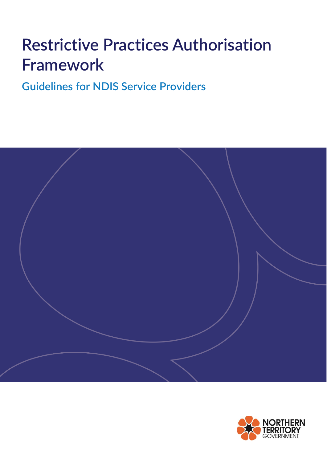# **Restrictive Practices Authorisation Framework**

**Guidelines for NDIS Service Providers**



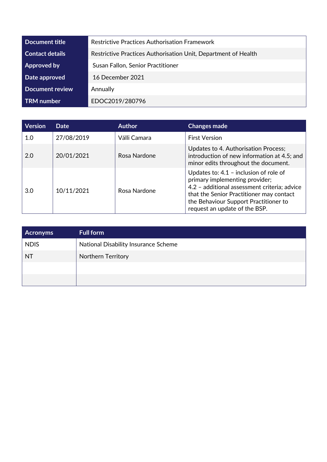| Document title         | <b>Restrictive Practices Authorisation Framework</b>           |  |
|------------------------|----------------------------------------------------------------|--|
| <b>Contact details</b> | Restrictive Practices Authorisation Unit, Department of Health |  |
| Approved by            | Susan Fallon, Senior Practitioner                              |  |
| Date approved          | 16 December 2021                                               |  |
| <b>Document review</b> | Annually                                                       |  |
| <b>TRM</b> number      | EDOC2019/280796                                                |  |

| <b>Version</b> | <b>Date</b> | <b>Author</b> | <b>Changes made</b>                                                                                                                                                                                                                              |
|----------------|-------------|---------------|--------------------------------------------------------------------------------------------------------------------------------------------------------------------------------------------------------------------------------------------------|
| 1.0            | 27/08/2019  | Válli Camara  | <b>First Version</b>                                                                                                                                                                                                                             |
| 2.0            | 20/01/2021  | Rosa Nardone  | Updates to 4. Authorisation Process;<br>introduction of new information at 4.5; and<br>minor edits throughout the document.                                                                                                                      |
| 3.0            | 10/11/2021  | Rosa Nardone  | Updates to: $4.1$ - inclusion of role of<br>primary implementing provider;<br>4.2 - additional assessment criteria; advice<br>that the Senior Practitioner may contact<br>the Behaviour Support Practitioner to<br>request an update of the BSP. |

| <b>Acronyms</b> | <b>Full form</b>                     |
|-----------------|--------------------------------------|
| <b>NDIS</b>     | National Disability Insurance Scheme |
| <b>NT</b>       | Northern Territory                   |
|                 |                                      |
|                 |                                      |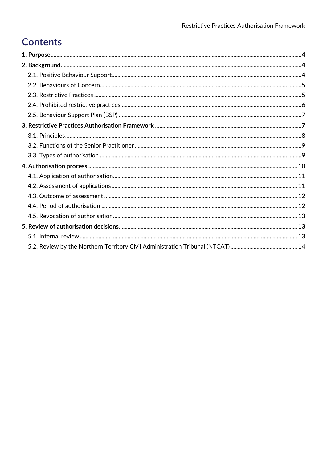# **Contents**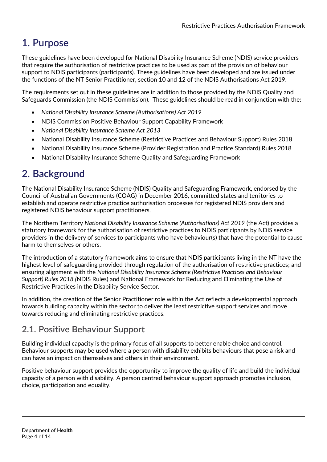# <span id="page-3-0"></span>**1. Purpose**

These guidelines have been developed for National Disability Insurance Scheme (NDIS) service providers that require the authorisation of restrictive practices to be used as part of the provision of behaviour support to NDIS participants (participants). These guidelines have been developed and are issued under the functions of the NT Senior Practitioner, section 10 and 12 of the NDIS Authorisations Act 2019.

The requirements set out in these guidelines are in addition to those provided by the NDIS Quality and Safeguards Commission (the NDIS Commission). These guidelines should be read in conjunction with the:

- *National Disability Insurance Scheme (Authorisations) Act 2019*
- NDIS Commission Positive Behaviour Support Capability Framework
- *National Disability Insurance Scheme Act 2013*
- National Disability Insurance Scheme (Restrictive Practices and Behaviour Support) Rules 2018
- National Disability Insurance Scheme (Provider Registration and Practice Standard) Rules 2018
- National Disability Insurance Scheme Quality and Safeguarding Framework

# <span id="page-3-1"></span>**2. Background**

The National Disability Insurance Scheme (NDIS) Quality and Safeguarding Framework, endorsed by the Council of Australian Governments (COAG) in December 2016, committed states and territories to establish and operate restrictive practice authorisation processes for registered NDIS providers and registered NDIS behaviour support practitioners.

The Northern Territory *National Disability Insurance Scheme (Authorisations) Act 2019* (the Act) provides a statutory framework for the authorisation of restrictive practices to NDIS participants by NDIS service providers in the delivery of services to participants who have behaviour(s) that have the potential to cause harm to themselves or others.

The introduction of a statutory framework aims to ensure that NDIS participants living in the NT have the highest level of safeguarding provided through regulation of the authorisation of restrictive practices; and ensuring alignment with the *National Disability Insurance Scheme (Restrictive Practices and Behaviour Support) Rules 2018 (*NDIS Rules) and National Framework for Reducing and Eliminating the Use of Restrictive Practices in the Disability Service Sector.

In addition, the creation of the Senior Practitioner role within the Act reflects a developmental approach towards building capacity within the sector to deliver the least restrictive support services and move towards reducing and eliminating restrictive practices.

# <span id="page-3-2"></span>**2.1. Positive Behaviour Support**

Building individual capacity is the primary focus of all supports to better enable choice and control. Behaviour supports may be used where a person with disability exhibits behaviours that pose a risk and can have an impact on themselves and others in their environment.

Positive behaviour support provides the opportunity to improve the quality of life and build the individual capacity of a person with disability. A person centred behaviour support approach promotes inclusion, choice, participation and equality.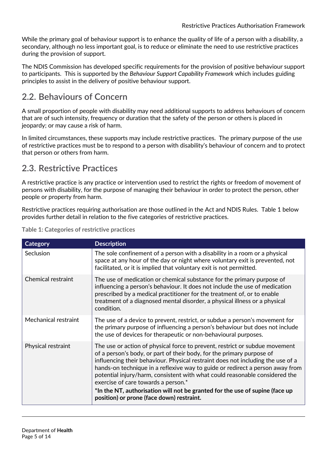While the primary goal of behaviour support is to enhance the quality of life of a person with a disability, a secondary, although no less important goal, is to reduce or eliminate the need to use restrictive practices during the provision of support.

The NDIS Commission has developed specific requirements for the provision of positive behaviour support to participants. This is supported by the *Behaviour Support Capability Framework* which includes guiding principles to assist in the delivery of positive behaviour support.

### <span id="page-4-0"></span>**2.2. Behaviours of Concern**

A small proportion of people with disability may need additional supports to address behaviours of concern that are of such intensity, frequency or duration that the safety of the person or others is placed in jeopardy; or may cause a risk of harm.

In limited circumstances, these supports may include restrictive practices. The primary purpose of the use of restrictive practices must be to respond to a person with disability's behaviour of concern and to protect that person or others from harm.

### <span id="page-4-1"></span>**2.3. Restrictive Practices**

A restrictive practice is any practice or intervention used to restrict the rights or freedom of movement of persons with disability, for the purpose of managing their behaviour in order to protect the person, other people or property from harm.

Restrictive practices requiring authorisation are those outlined in the Act and NDIS Rules. Table 1 below provides further detail in relation to the five categories of restrictive practices.

| <b>Category</b>           | <b>Description</b>                                                                                                                                                                                                                                                                                                                                                                                                                                                                                                                                                          |
|---------------------------|-----------------------------------------------------------------------------------------------------------------------------------------------------------------------------------------------------------------------------------------------------------------------------------------------------------------------------------------------------------------------------------------------------------------------------------------------------------------------------------------------------------------------------------------------------------------------------|
| Seclusion                 | The sole confinement of a person with a disability in a room or a physical<br>space at any hour of the day or night where voluntary exit is prevented, not<br>facilitated, or it is implied that voluntary exit is not permitted.                                                                                                                                                                                                                                                                                                                                           |
| <b>Chemical restraint</b> | The use of medication or chemical substance for the primary purpose of<br>influencing a person's behaviour. It does not include the use of medication<br>prescribed by a medical practitioner for the treatment of, or to enable<br>treatment of a diagnosed mental disorder, a physical illness or a physical<br>condition.                                                                                                                                                                                                                                                |
| Mechanical restraint      | The use of a device to prevent, restrict, or subdue a person's movement for<br>the primary purpose of influencing a person's behaviour but does not include<br>the use of devices for therapeutic or non-behavioural purposes.                                                                                                                                                                                                                                                                                                                                              |
| Physical restraint        | The use or action of physical force to prevent, restrict or subdue movement<br>of a person's body, or part of their body, for the primary purpose of<br>influencing their behaviour. Physical restraint does not including the use of a<br>hands-on technique in a reflexive way to guide or redirect a person away from<br>potential injury/harm, consistent with what could reasonable considered the<br>exercise of care towards a person.*<br>*In the NT, authorisation will not be granted for the use of supine (face up<br>position) or prone (face down) restraint. |

**Table 1: Categories of restrictive practices**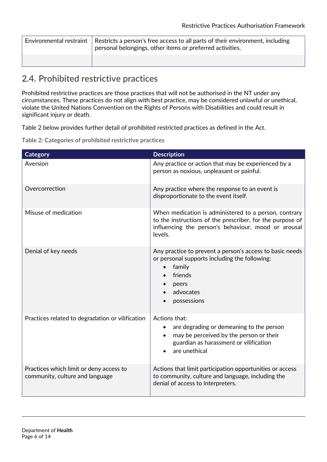| Environmental restraint $\mid$ Restricts a person's free access to all parts of their environment, including<br>personal belongings, other items or preferred activities. |
|---------------------------------------------------------------------------------------------------------------------------------------------------------------------------|
|                                                                                                                                                                           |

# <span id="page-5-0"></span>**2.4. Prohibited restrictive practices**

Prohibited restrictive practices are those practices that will not be authorised in the NT under any circumstances. These practices do not align with best practice, may be considered unlawful or unethical, violate the United Nations Convention on the Rights of Persons with Disabilities and could result in significant injury or death.

Table 2 below provides further detail of prohibited restricted practices as defined in the Act.

**Table 2: Categories of prohibited restrictive practices**

| <b>Category</b>                                                            | <b>Description</b>                                                                                                                                                                   |
|----------------------------------------------------------------------------|--------------------------------------------------------------------------------------------------------------------------------------------------------------------------------------|
| Aversion                                                                   | Any practice or action that may be experienced by a<br>person as noxious, unpleasant or painful.                                                                                     |
| Overcorrection                                                             | Any practice where the response to an event is<br>disproportionate to the event itself.                                                                                              |
| Misuse of medication                                                       | When medication is administered to a person, contrary<br>to the instructions of the prescriber, for the purpose of<br>influencing the person's behaviour, mood or arousal<br>levels. |
| Denial of key needs                                                        | Any practice to prevent a person's access to basic needs<br>or personal supports including the following:<br>family<br>$\bullet$<br>friends<br>peers<br>advocates<br>possessions     |
| Practices related to degradation or vilification                           | Actions that:<br>are degrading or demeaning to the person<br>$\bullet$<br>may be perceived by the person or their<br>guardian as harassment or vilification<br>are unethical         |
| Practices which limit or deny access to<br>community, culture and language | Actions that limit participation opportunities or access<br>to community, culture and language, including the<br>denial of access to interpreters.                                   |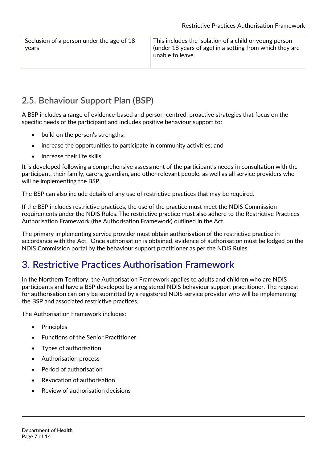| Seclusion of a person under the age of 18 |  |
|-------------------------------------------|--|
| years                                     |  |

This includes the isolation of a child or young person (under 18 years of age) in a setting from which they are unable to leave.

# <span id="page-6-0"></span>**2.5. Behaviour Support Plan (BSP)**

A BSP includes a range of evidence-based and person-centred, proactive strategies that focus on the specific needs of the participant and includes positive behaviour support to:

- build on the person's strengths;
- increase the opportunities to participate in community activities; and
- increase their life skills

It is developed following a comprehensive assessment of the participant's needs in consultation with the participant, their family, carers, guardian, and other relevant people, as well as all service providers who will be implementing the BSP.

The BSP can also include details of any use of restrictive practices that may be required.

If the BSP includes restrictive practices, the use of the practice must meet the NDIS Commission requirements under the NDIS Rules. The restrictive practice must also adhere to the Restrictive Practices Authorisation Framework (the Authorisation Framework) outlined in the Act.

The primary implementing service provider must obtain authorisation of the restrictive practice in accordance with the Act. Once authorisation is obtained, evidence of authorisation must be lodged on the NDIS Commission portal by the behaviour support practitioner as per the NDIS Rules.

# **3. Restrictive Practices Authorisation Framework**

In the Northern Territory, the Authorisation Framework applies to adults and children who are NDIS participants and have a BSP developed by a registered NDIS behaviour support practitioner. The request for authorisation can only be submitted by a registered NDIS service provider who will be implementing the BSP and associated restrictive practices.

The Authorisation Framework includes:

- Principles
- Functions of the Senior Practitioner
- Types of authorisation
- Authorisation process
- Period of authorisation
- Revocation of authorisation
- Review of authorisation decisions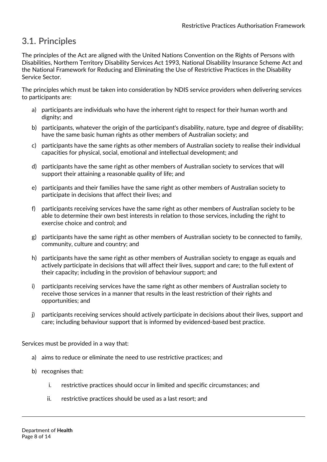# <span id="page-7-0"></span>**3.1. Principles**

The principles of the Act are aligned with the United Nations Convention on the Rights of Persons with Disabilities, Northern Territory Disability Services Act 1993, National Disability Insurance Scheme Act and the National Framework for Reducing and Eliminating the Use of Restrictive Practices in the Disability Service Sector.

The principles which must be taken into consideration by NDIS service providers when delivering services to participants are:

- a) participants are individuals who have the inherent right to respect for their human worth and dignity; and
- b) participants, whatever the origin of the participant's disability, nature, type and degree of disability; have the same basic human rights as other members of Australian society; and
- c) participants have the same rights as other members of Australian society to realise their individual capacities for physical, social, emotional and intellectual development; and
- d) participants have the same right as other members of Australian society to services that will support their attaining a reasonable quality of life; and
- e) participants and their families have the same right as other members of Australian society to participate in decisions that affect their lives; and
- f) participants receiving services have the same right as other members of Australian society to be able to determine their own best interests in relation to those services, including the right to exercise choice and control; and
- g) participants have the same right as other members of Australian society to be connected to family, community, culture and country; and
- h) participants have the same right as other members of Australian society to engage as equals and actively participate in decisions that will affect their lives, support and care; to the full extent of their capacity; including in the provision of behaviour support; and
- i) participants receiving services have the same right as other members of Australian society to receive those services in a manner that results in the least restriction of their rights and opportunities; and
- j) participants receiving services should actively participate in decisions about their lives, support and care; including behaviour support that is informed by evidenced-based best practice.

Services must be provided in a way that:

- a) aims to reduce or eliminate the need to use restrictive practices; and
- b) recognises that:
	- i. restrictive practices should occur in limited and specific circumstances; and
	- ii. restrictive practices should be used as a last resort; and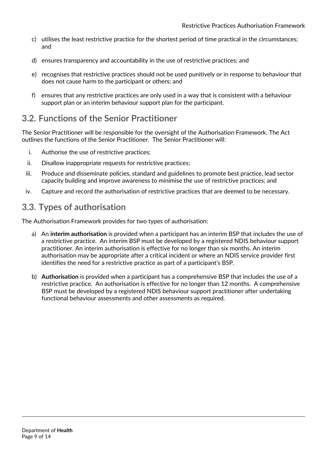- c) utilises the least restrictive practice for the shortest period of time practical in the circumstances; and
- d) ensures transparency and accountability in the use of restrictive practices; and
- e) recognises that restrictive practices should not be used punitively or in response to behaviour that does not cause harm to the participant or others; and
- f) ensures that any restrictive practices are only used in a way that is consistent with a behaviour support plan or an interim behaviour support plan for the participant.

### <span id="page-8-0"></span>**3.2. Functions of the Senior Practitioner**

The Senior Practitioner will be responsible for the oversight of the Authorisation Framework. The Act outlines the functions of the Senior Practitioner. The Senior Practitioner will:

- i. Authorise the use of restrictive practices;
- ii. Disallow inappropriate requests for restrictive practices;
- iii. Produce and disseminate policies, standard and guidelines to promote best practice, lead sector capacity building and improve awareness to minimise the use of restrictive practices; and
- iv. Capture and record the authorisation of restrictive practices that are deemed to be necessary.

# <span id="page-8-1"></span>**3.3. Types of authorisation**

The Authorisation Framework provides for two types of authorisation:

- a) An **interim authorisation** is provided when a participant has an interim BSP that includes the use of a restrictive practice. An interim BSP must be developed by a registered NDIS behaviour support practitioner. An interim authorisation is effective for no longer than six months. An interim authorisation may be appropriate after a critical incident or where an NDIS service provider first identifies the need for a restrictive practice as part of a participant's BSP.
- b) **Authorisation** is provided when a participant has a comprehensive BSP that includes the use of a restrictive practice. An authorisation is effective for no longer than 12 months. A comprehensive BSP must be developed by a registered NDIS behaviour support practitioner after undertaking functional behaviour assessments and other assessments as required.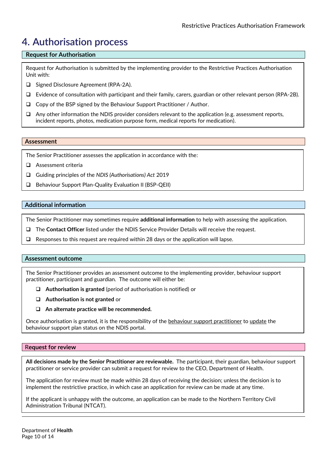# <span id="page-9-0"></span>**4. Authorisation process**

#### **Request for Authorisation**

Request for Authorisation is submitted by the implementing provider to the Restrictive Practices Authorisation Unit with:

- □ Signed Disclosure Agreement (RPA-2A).
- Evidence of consultation with participant and their family, carers, guardian or other relevant person (RPA-2B).
- $\Box$  Copy of the BSP signed by the Behaviour Support Practitioner / Author.
- $\Box$  Any other information the NDIS provider considers relevant to the application (e.g. assessment reports, incident reports, photos, medication purpose form, medical reports for medication).

#### **Assessment**

The Senior Practitioner assesses the application in accordance with the:

- Assessment criteria
- Guiding principles of the *NDIS (Authorisations) Act* 2019
- Behaviour Support Plan-Quality Evaluation II (BSP-QEII)

#### **Additional information**

The Senior Practitioner may sometimes require **additional information** to help with assessing the application.

- The **Contact Officer** listed under the NDIS Service Provider Details will receive the request.
- $\Box$  Responses to this request are required within 28 days or the application will lapse.

#### **Assessment outcome**

The Senior Practitioner provides an assessment outcome to the implementing provider, behaviour support practitioner, participant and guardian. The outcome will either be:

- **Authorisation is granted** (period of authorisation is notified) or
- **Authorisation is not granted** or
- **An alternate practice will be recommended.**

Once authorisation is granted, it is the responsibility of the behaviour support practitioner to update the behaviour support plan status on the NDIS portal.

#### R**equest for review**

**All decisions made by the Senior Practitioner are reviewable.** The participant, their guardian, behaviour support practitioner or service provider can submit a request for review to the CEO, Department of Health.

The application for review must be made within 28 days of receiving the decision; unless the decision is to implement the restrictive practice, in which case an application for review can be made at any time.

If the applicant is unhappy with the outcome, an application can be made to the Northern Territory Civil Administration Tribunal (NTCAT).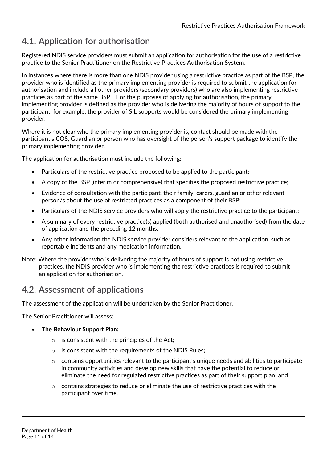# <span id="page-10-0"></span>**4.1. Application for authorisation**

Registered NDIS service providers must submit an application for authorisation for the use of a restrictive practice to the Senior Practitioner on the Restrictive Practices Authorisation System.

In instances where there is more than one NDIS provider using a restrictive practice as part of the BSP, the provider who is identified as the primary implementing provider is required to submit the application for authorisation and include all other providers (secondary providers) who are also implementing restrictive practices as part of the same BSP. For the purposes of applying for authorisation, the primary implementing provider is defined as the provider who is delivering the majority of hours of support to the participant, for example, the provider of SIL supports would be considered the primary implementing provider.

Where it is not clear who the primary implementing provider is, contact should be made with the participant's COS, Guardian or person who has oversight of the person's support package to identify the primary implementing provider.

The application for authorisation must include the following:

- Particulars of the restrictive practice proposed to be applied to the participant;
- A copy of the BSP (interim or comprehensive) that specifies the proposed restrictive practice;
- Evidence of consultation with the participant, their family, carers, guardian or other relevant person/s about the use of restricted practices as a component of their BSP;
- Particulars of the NDIS service providers who will apply the restrictive practice to the participant;
- A summary of every restrictive practice(s) applied (both authorised and unauthorised) from the date of application and the preceding 12 months.
- Any other information the NDIS service provider considers relevant to the application, such as reportable incidents and any medication information.
- Note: Where the provider who is delivering the majority of hours of support is not using restrictive practices, the NDIS provider who is implementing the restrictive practices is required to submit an application for authorisation.

### <span id="page-10-1"></span>**4.2. Assessment of applications**

The assessment of the application will be undertaken by the Senior Practitioner.

The Senior Practitioner will assess:

- **The Behaviour Support Plan:**
	- $\circ$  is consistent with the principles of the Act:
	- o is consistent with the requirements of the NDIS Rules;
	- $\circ$  contains opportunities relevant to the participant's unique needs and abilities to participate in community activities and develop new skills that have the potential to reduce or eliminate the need for regulated restrictive practices as part of their support plan; and
	- $\circ$  contains strategies to reduce or eliminate the use of restrictive practices with the participant over time.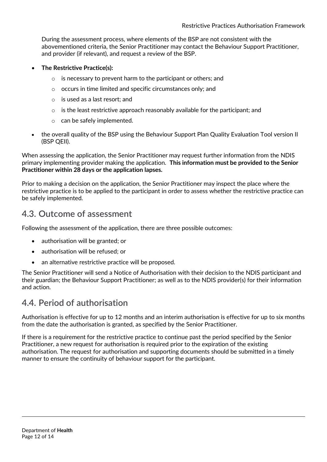During the assessment process, where elements of the BSP are not consistent with the abovementioned criteria, the Senior Practitioner may contact the Behaviour Support Practitioner, and provider (if relevant), and request a review of the BSP.

- **The Restrictive Practice(s):**
	- o is necessary to prevent harm to the participant or others; and
	- o occurs in time limited and specific circumstances only; and
	- o is used as a last resort; and
	- $\circ$  is the least restrictive approach reasonably available for the participant; and
	- o can be safely implemented.
- the overall quality of the BSP using the Behaviour Support Plan Quality Evaluation Tool version II (BSP QEII).

When assessing the application, the Senior Practitioner may request further information from the NDIS primary implementing provider making the application. **This information must be provided to the Senior Practitioner within 28 days or the application lapses.**

Prior to making a decision on the application, the Senior Practitioner may inspect the place where the restrictive practice is to be applied to the participant in order to assess whether the restrictive practice can be safely implemented.

### <span id="page-11-0"></span>**4.3. Outcome of assessment**

Following the assessment of the application, there are three possible outcomes:

- authorisation will be granted; or
- authorisation will be refused; or
- an alternative restrictive practice will be proposed.

The Senior Practitioner will send a Notice of Authorisation with their decision to the NDIS participant and their guardian; the Behaviour Support Practitioner; as well as to the NDIS provider(s) for their information and action.

### <span id="page-11-1"></span>**4.4. Period of authorisation**

Authorisation is effective for up to 12 months and an interim authorisation is effective for up to six months from the date the authorisation is granted, as specified by the Senior Practitioner.

If there is a requirement for the restrictive practice to continue past the period specified by the Senior Practitioner, a new request for authorisation is required prior to the expiration of the existing authorisation. The request for authorisation and supporting documents should be submitted in a timely manner to ensure the continuity of behaviour support for the participant.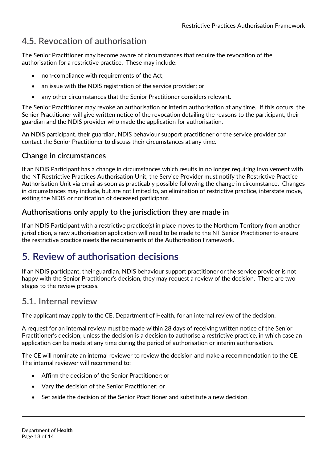# <span id="page-12-0"></span>**4.5. Revocation of authorisation**

The Senior Practitioner may become aware of circumstances that require the revocation of the authorisation for a restrictive practice. These may include:

- non-compliance with requirements of the Act;
- an issue with the NDIS registration of the service provider; or
- any other circumstances that the Senior Practitioner considers relevant.

The Senior Practitioner may revoke an authorisation or interim authorisation at any time. If this occurs, the Senior Practitioner will give written notice of the revocation detailing the reasons to the participant, their guardian and the NDIS provider who made the application for authorisation.

An NDIS participant, their guardian, NDIS behaviour support practitioner or the service provider can contact the Senior Practitioner to discuss their circumstances at any time.

### **Change in circumstances**

If an NDIS Participant has a change in circumstances which results in no longer requiring involvement with the NT Restrictive Practices Authorisation Unit, the Service Provider must notify the Restrictive Practice Authorisation Unit via email as soon as practicably possible following the change in circumstance. Changes in circumstances may include, but are not limited to, an elimination of restrictive practice, interstate move, exiting the NDIS or notification of deceased participant.

### **Authorisations only apply to the jurisdiction they are made in**

If an NDIS Participant with a restrictive practice(s) in place moves to the Northern Territory from another jurisdiction, a new authorisation application will need to be made to the NT Senior Practitioner to ensure the restrictive practice meets the requirements of the Authorisation Framework.

# <span id="page-12-1"></span>**5. Review of authorisation decisions**

If an NDIS participant, their guardian, NDIS behaviour support practitioner or the service provider is not happy with the Senior Practitioner's decision, they may request a review of the decision. There are two stages to the review process.

### <span id="page-12-2"></span>**5.1. Internal review**

The applicant may apply to the CE, Department of Health, for an internal review of the decision.

A request for an internal review must be made within 28 days of receiving written notice of the Senior Practitioner's decision; unless the decision is a decision to authorise a restrictive practice, in which case an application can be made at any time during the period of authorisation or interim authorisation.

The CE will nominate an internal reviewer to review the decision and make a recommendation to the CE. The internal reviewer will recommend to:

- Affirm the decision of the Senior Practitioner; or
- Vary the decision of the Senior Practitioner; or
- Set aside the decision of the Senior Practitioner and substitute a new decision.